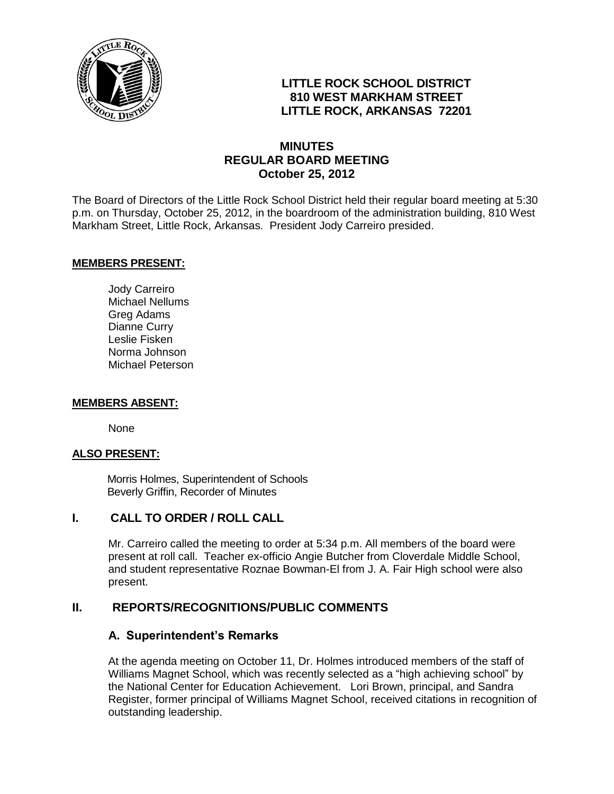

# **LITTLE ROCK SCHOOL DISTRICT 810 WEST MARKHAM STREET LITTLE ROCK, ARKANSAS 72201**

# **MINUTES REGULAR BOARD MEETING October 25, 2012**

The Board of Directors of the Little Rock School District held their regular board meeting at 5:30 p.m. on Thursday, October 25, 2012, in the boardroom of the administration building, 810 West Markham Street, Little Rock, Arkansas. President Jody Carreiro presided.

#### **MEMBERS PRESENT:**

Jody Carreiro Michael Nellums Greg Adams Dianne Curry Leslie Fisken Norma Johnson Michael Peterson

#### **MEMBERS ABSENT:**

None

#### **ALSO PRESENT:**

 Morris Holmes, Superintendent of Schools Beverly Griffin, Recorder of Minutes

# **I. CALL TO ORDER / ROLL CALL**

Mr. Carreiro called the meeting to order at 5:34 p.m. All members of the board were present at roll call. Teacher ex-officio Angie Butcher from Cloverdale Middle School, and student representative Roznae Bowman-El from J. A. Fair High school were also present.

# **II. REPORTS/RECOGNITIONS/PUBLIC COMMENTS**

#### **A. Superintendent's Remarks**

At the agenda meeting on October 11, Dr. Holmes introduced members of the staff of Williams Magnet School, which was recently selected as a "high achieving school" by the National Center for Education Achievement. Lori Brown, principal, and Sandra Register, former principal of Williams Magnet School, received citations in recognition of outstanding leadership.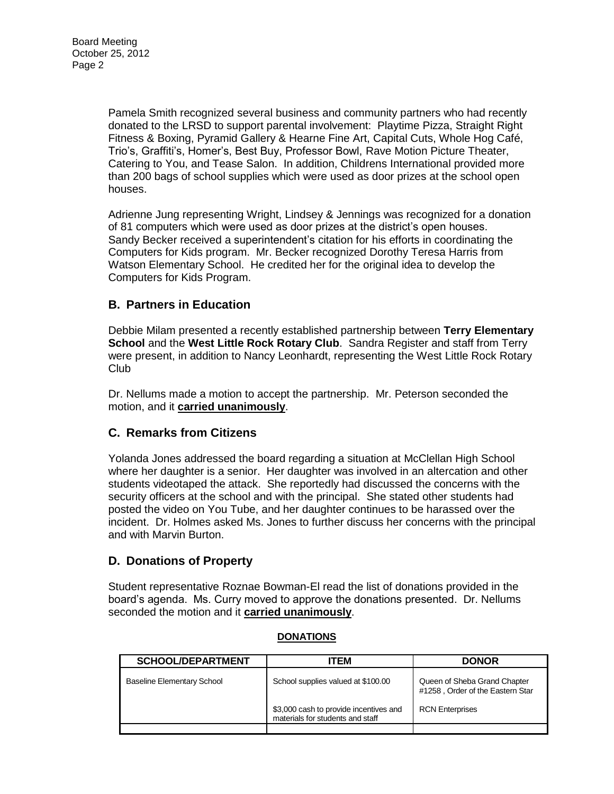Pamela Smith recognized several business and community partners who had recently donated to the LRSD to support parental involvement: Playtime Pizza, Straight Right Fitness & Boxing, Pyramid Gallery & Hearne Fine Art, Capital Cuts, Whole Hog Café, Trio's, Graffiti's, Homer's, Best Buy, Professor Bowl, Rave Motion Picture Theater, Catering to You, and Tease Salon. In addition, Childrens International provided more than 200 bags of school supplies which were used as door prizes at the school open houses.

Adrienne Jung representing Wright, Lindsey & Jennings was recognized for a donation of 81 computers which were used as door prizes at the district's open houses. Sandy Becker received a superintendent's citation for his efforts in coordinating the Computers for Kids program. Mr. Becker recognized Dorothy Teresa Harris from Watson Elementary School. He credited her for the original idea to develop the Computers for Kids Program.

# **B. Partners in Education**

Debbie Milam presented a recently established partnership between **Terry Elementary School** and the **West Little Rock Rotary Club**. Sandra Register and staff from Terry were present, in addition to Nancy Leonhardt, representing the West Little Rock Rotary Club

Dr. Nellums made a motion to accept the partnership. Mr. Peterson seconded the motion, and it **carried unanimously**.

# **C. Remarks from Citizens**

Yolanda Jones addressed the board regarding a situation at McClellan High School where her daughter is a senior. Her daughter was involved in an altercation and other students videotaped the attack. She reportedly had discussed the concerns with the security officers at the school and with the principal. She stated other students had posted the video on You Tube, and her daughter continues to be harassed over the incident. Dr. Holmes asked Ms. Jones to further discuss her concerns with the principal and with Marvin Burton.

# **D. Donations of Property**

Student representative Roznae Bowman-El read the list of donations provided in the board's agenda. Ms. Curry moved to approve the donations presented. Dr. Nellums seconded the motion and it **carried unanimously**.

| <b>SCHOOL/DEPARTMENT</b>          | ITEM                                                                       | <b>DONOR</b>                                                     |
|-----------------------------------|----------------------------------------------------------------------------|------------------------------------------------------------------|
| <b>Baseline Elementary School</b> | School supplies valued at \$100.00                                         | Queen of Sheba Grand Chapter<br>#1258, Order of the Eastern Star |
|                                   | \$3,000 cash to provide incentives and<br>materials for students and staff | <b>RCN Enterprises</b>                                           |
|                                   |                                                                            |                                                                  |

#### **DONATIONS**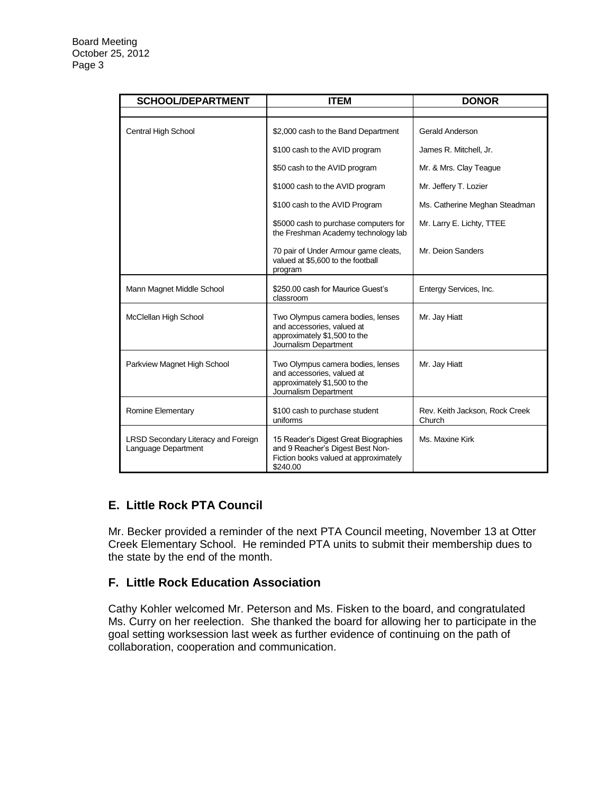| <b>SCHOOL/DEPARTMENT</b>                                   | <b>ITEM</b>                                                                                                                   | <b>DONOR</b>                             |
|------------------------------------------------------------|-------------------------------------------------------------------------------------------------------------------------------|------------------------------------------|
|                                                            |                                                                                                                               |                                          |
| Central High School                                        | \$2,000 cash to the Band Department                                                                                           | Gerald Anderson                          |
|                                                            | \$100 cash to the AVID program                                                                                                | James R. Mitchell, Jr.                   |
|                                                            | \$50 cash to the AVID program                                                                                                 | Mr. & Mrs. Clay Teague                   |
|                                                            | \$1000 cash to the AVID program                                                                                               | Mr. Jeffery T. Lozier                    |
|                                                            | \$100 cash to the AVID Program                                                                                                | Ms. Catherine Meghan Steadman            |
|                                                            | \$5000 cash to purchase computers for<br>the Freshman Academy technology lab                                                  | Mr. Larry E. Lichty, TTEE                |
|                                                            | 70 pair of Under Armour game cleats,<br>valued at \$5,600 to the football<br>program                                          | Mr. Deion Sanders                        |
| Mann Magnet Middle School                                  | \$250.00 cash for Maurice Guest's<br>classroom                                                                                | Entergy Services, Inc.                   |
| McClellan High School                                      | Two Olympus camera bodies, lenses<br>and accessories, valued at<br>approximately \$1,500 to the<br>Journalism Department      | Mr. Jay Hiatt                            |
| Parkview Magnet High School                                | Two Olympus camera bodies, lenses<br>and accessories, valued at<br>approximately \$1,500 to the<br>Journalism Department      | Mr. Jay Hiatt                            |
| Romine Elementary                                          | \$100 cash to purchase student<br>uniforms                                                                                    | Rev. Keith Jackson, Rock Creek<br>Church |
| LRSD Secondary Literacy and Foreign<br>Language Department | 15 Reader's Digest Great Biographies<br>and 9 Reacher's Digest Best Non-<br>Fiction books valued at approximately<br>\$240.00 | Ms. Maxine Kirk                          |

# **E. Little Rock PTA Council**

Mr. Becker provided a reminder of the next PTA Council meeting, November 13 at Otter Creek Elementary School. He reminded PTA units to submit their membership dues to the state by the end of the month.

# **F. Little Rock Education Association**

Cathy Kohler welcomed Mr. Peterson and Ms. Fisken to the board, and congratulated Ms. Curry on her reelection. She thanked the board for allowing her to participate in the goal setting worksession last week as further evidence of continuing on the path of collaboration, cooperation and communication.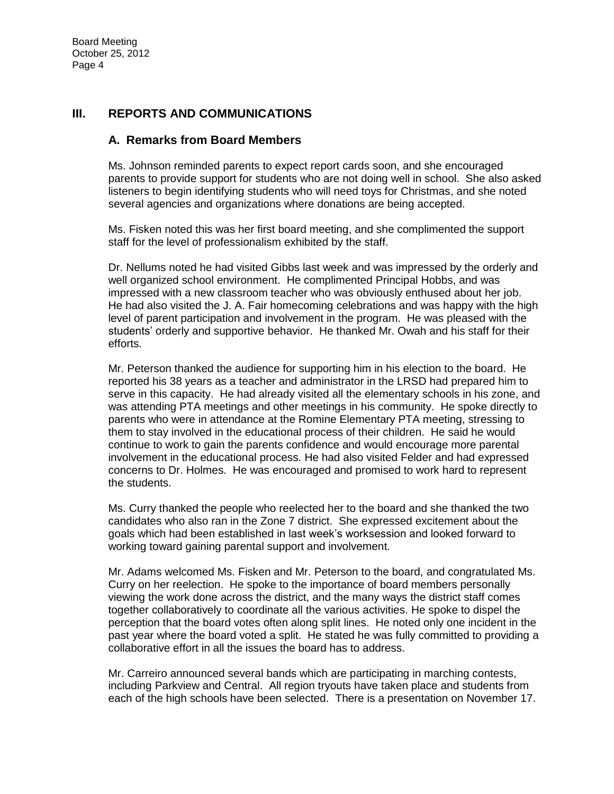### **III. REPORTS AND COMMUNICATIONS**

#### **A. Remarks from Board Members**

Ms. Johnson reminded parents to expect report cards soon, and she encouraged parents to provide support for students who are not doing well in school. She also asked listeners to begin identifying students who will need toys for Christmas, and she noted several agencies and organizations where donations are being accepted.

Ms. Fisken noted this was her first board meeting, and she complimented the support staff for the level of professionalism exhibited by the staff.

Dr. Nellums noted he had visited Gibbs last week and was impressed by the orderly and well organized school environment. He complimented Principal Hobbs, and was impressed with a new classroom teacher who was obviously enthused about her job. He had also visited the J. A. Fair homecoming celebrations and was happy with the high level of parent participation and involvement in the program. He was pleased with the students' orderly and supportive behavior. He thanked Mr. Owah and his staff for their efforts.

Mr. Peterson thanked the audience for supporting him in his election to the board. He reported his 38 years as a teacher and administrator in the LRSD had prepared him to serve in this capacity. He had already visited all the elementary schools in his zone, and was attending PTA meetings and other meetings in his community. He spoke directly to parents who were in attendance at the Romine Elementary PTA meeting, stressing to them to stay involved in the educational process of their children. He said he would continue to work to gain the parents confidence and would encourage more parental involvement in the educational process. He had also visited Felder and had expressed concerns to Dr. Holmes. He was encouraged and promised to work hard to represent the students.

Ms. Curry thanked the people who reelected her to the board and she thanked the two candidates who also ran in the Zone 7 district. She expressed excitement about the goals which had been established in last week's worksession and looked forward to working toward gaining parental support and involvement.

Mr. Adams welcomed Ms. Fisken and Mr. Peterson to the board, and congratulated Ms. Curry on her reelection. He spoke to the importance of board members personally viewing the work done across the district, and the many ways the district staff comes together collaboratively to coordinate all the various activities. He spoke to dispel the perception that the board votes often along split lines. He noted only one incident in the past year where the board voted a split. He stated he was fully committed to providing a collaborative effort in all the issues the board has to address.

Mr. Carreiro announced several bands which are participating in marching contests, including Parkview and Central. All region tryouts have taken place and students from each of the high schools have been selected. There is a presentation on November 17.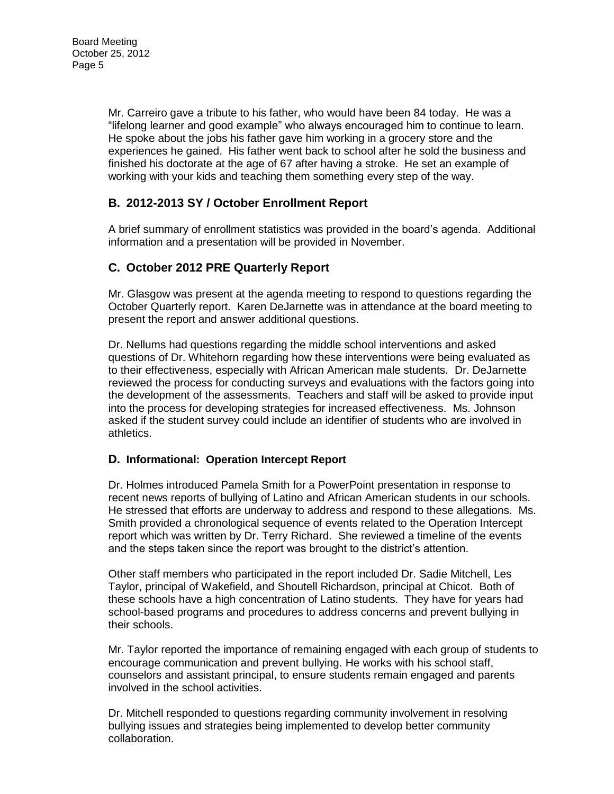Mr. Carreiro gave a tribute to his father, who would have been 84 today. He was a "lifelong learner and good example" who always encouraged him to continue to learn. He spoke about the jobs his father gave him working in a grocery store and the experiences he gained. His father went back to school after he sold the business and finished his doctorate at the age of 67 after having a stroke. He set an example of working with your kids and teaching them something every step of the way.

# **B. 2012-2013 SY / October Enrollment Report**

A brief summary of enrollment statistics was provided in the board's agenda. Additional information and a presentation will be provided in November.

# **C. October 2012 PRE Quarterly Report**

Mr. Glasgow was present at the agenda meeting to respond to questions regarding the October Quarterly report. Karen DeJarnette was in attendance at the board meeting to present the report and answer additional questions.

Dr. Nellums had questions regarding the middle school interventions and asked questions of Dr. Whitehorn regarding how these interventions were being evaluated as to their effectiveness, especially with African American male students. Dr. DeJarnette reviewed the process for conducting surveys and evaluations with the factors going into the development of the assessments. Teachers and staff will be asked to provide input into the process for developing strategies for increased effectiveness. Ms. Johnson asked if the student survey could include an identifier of students who are involved in athletics.

# **D. Informational: Operation Intercept Report**

Dr. Holmes introduced Pamela Smith for a PowerPoint presentation in response to recent news reports of bullying of Latino and African American students in our schools. He stressed that efforts are underway to address and respond to these allegations. Ms. Smith provided a chronological sequence of events related to the Operation Intercept report which was written by Dr. Terry Richard. She reviewed a timeline of the events and the steps taken since the report was brought to the district's attention.

Other staff members who participated in the report included Dr. Sadie Mitchell, Les Taylor, principal of Wakefield, and Shoutell Richardson, principal at Chicot. Both of these schools have a high concentration of Latino students. They have for years had school-based programs and procedures to address concerns and prevent bullying in their schools.

Mr. Taylor reported the importance of remaining engaged with each group of students to encourage communication and prevent bullying. He works with his school staff, counselors and assistant principal, to ensure students remain engaged and parents involved in the school activities.

Dr. Mitchell responded to questions regarding community involvement in resolving bullying issues and strategies being implemented to develop better community collaboration.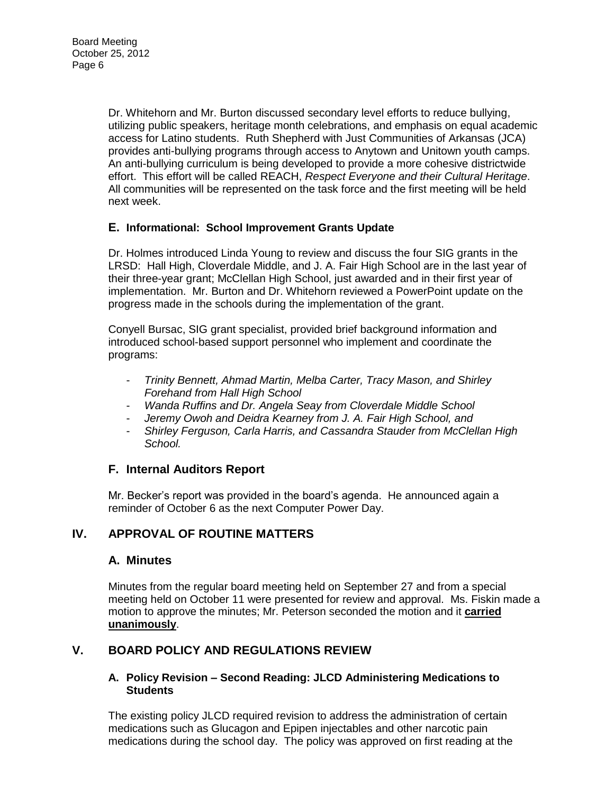Dr. Whitehorn and Mr. Burton discussed secondary level efforts to reduce bullying, utilizing public speakers, heritage month celebrations, and emphasis on equal academic access for Latino students. Ruth Shepherd with Just Communities of Arkansas (JCA) provides anti-bullying programs through access to Anytown and Unitown youth camps. An anti-bullying curriculum is being developed to provide a more cohesive districtwide effort. This effort will be called REACH, *Respect Everyone and their Cultural Heritage*. All communities will be represented on the task force and the first meeting will be held next week.

# **E. Informational: School Improvement Grants Update**

Dr. Holmes introduced Linda Young to review and discuss the four SIG grants in the LRSD: Hall High, Cloverdale Middle, and J. A. Fair High School are in the last year of their three-year grant; McClellan High School, just awarded and in their first year of implementation. Mr. Burton and Dr. Whitehorn reviewed a PowerPoint update on the progress made in the schools during the implementation of the grant.

Conyell Bursac, SIG grant specialist, provided brief background information and introduced school-based support personnel who implement and coordinate the programs:

- *Trinity Bennett, Ahmad Martin, Melba Carter, Tracy Mason, and Shirley Forehand from Hall High School*
- *Wanda Ruffins and Dr. Angela Seay from Cloverdale Middle School*
- Jeremy Owoh and Deidra Kearney from J. A. Fair High School, and
- *Shirley Ferguson, Carla Harris, and Cassandra Stauder from McClellan High School.*

# **F. Internal Auditors Report**

Mr. Becker's report was provided in the board's agenda. He announced again a reminder of October 6 as the next Computer Power Day.

# **IV. APPROVAL OF ROUTINE MATTERS**

# **A. Minutes**

Minutes from the regular board meeting held on September 27 and from a special meeting held on October 11 were presented for review and approval. Ms. Fiskin made a motion to approve the minutes; Mr. Peterson seconded the motion and it **carried unanimously**.

# **V. BOARD POLICY AND REGULATIONS REVIEW**

#### **A. Policy Revision – Second Reading: JLCD Administering Medications to Students**

The existing policy JLCD required revision to address the administration of certain medications such as Glucagon and Epipen injectables and other narcotic pain medications during the school day. The policy was approved on first reading at the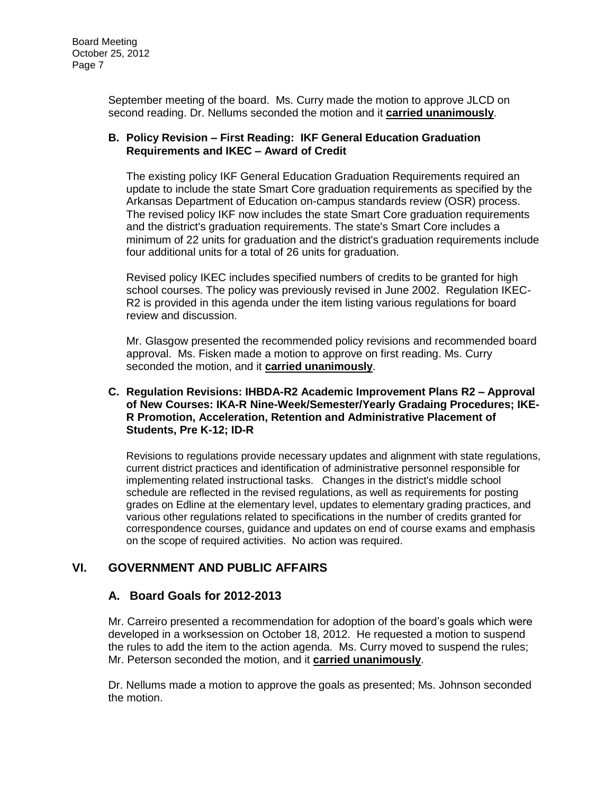September meeting of the board. Ms. Curry made the motion to approve JLCD on second reading. Dr. Nellums seconded the motion and it **carried unanimously**.

#### **B. Policy Revision – First Reading: IKF General Education Graduation Requirements and IKEC – Award of Credit**

The existing policy IKF General Education Graduation Requirements required an update to include the state Smart Core graduation requirements as specified by the Arkansas Department of Education on-campus standards review (OSR) process. The revised policy IKF now includes the state Smart Core graduation requirements and the district's graduation requirements. The state's Smart Core includes a minimum of 22 units for graduation and the district's graduation requirements include four additional units for a total of 26 units for graduation.

Revised policy IKEC includes specified numbers of credits to be granted for high school courses. The policy was previously revised in June 2002. Regulation IKEC-R2 is provided in this agenda under the item listing various regulations for board review and discussion.

Mr. Glasgow presented the recommended policy revisions and recommended board approval. Ms. Fisken made a motion to approve on first reading. Ms. Curry seconded the motion, and it **carried unanimously**.

#### **C. Regulation Revisions: IHBDA-R2 Academic Improvement Plans R2 – Approval of New Courses: IKA-R Nine-Week/Semester/Yearly Gradaing Procedures; IKE-R Promotion, Acceleration, Retention and Administrative Placement of Students, Pre K-12; ID-R**

Revisions to regulations provide necessary updates and alignment with state regulations, current district practices and identification of administrative personnel responsible for implementing related instructional tasks. Changes in the district's middle school schedule are reflected in the revised regulations, as well as requirements for posting grades on Edline at the elementary level, updates to elementary grading practices, and various other regulations related to specifications in the number of credits granted for correspondence courses, guidance and updates on end of course exams and emphasis on the scope of required activities. No action was required.

# **VI. GOVERNMENT AND PUBLIC AFFAIRS**

# **A. Board Goals for 2012-2013**

Mr. Carreiro presented a recommendation for adoption of the board's goals which were developed in a worksession on October 18, 2012. He requested a motion to suspend the rules to add the item to the action agenda. Ms. Curry moved to suspend the rules; Mr. Peterson seconded the motion, and it **carried unanimously**.

Dr. Nellums made a motion to approve the goals as presented; Ms. Johnson seconded the motion.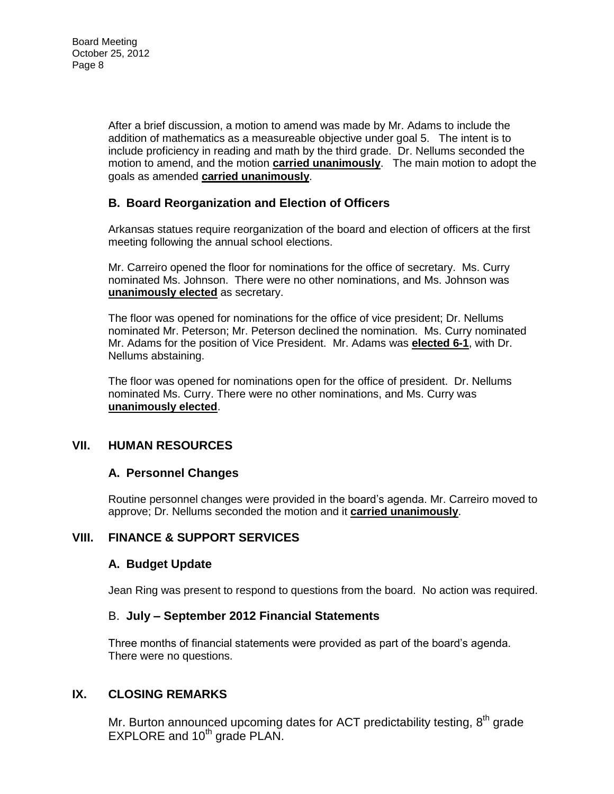After a brief discussion, a motion to amend was made by Mr. Adams to include the addition of mathematics as a measureable objective under goal 5. The intent is to include proficiency in reading and math by the third grade. Dr. Nellums seconded the motion to amend, and the motion **carried unanimously**. The main motion to adopt the goals as amended **carried unanimously**.

# **B. Board Reorganization and Election of Officers**

Arkansas statues require reorganization of the board and election of officers at the first meeting following the annual school elections.

Mr. Carreiro opened the floor for nominations for the office of secretary. Ms. Curry nominated Ms. Johnson. There were no other nominations, and Ms. Johnson was **unanimously elected** as secretary.

The floor was opened for nominations for the office of vice president; Dr. Nellums nominated Mr. Peterson; Mr. Peterson declined the nomination. Ms. Curry nominated Mr. Adams for the position of Vice President. Mr. Adams was **elected 6-1**, with Dr. Nellums abstaining.

The floor was opened for nominations open for the office of president. Dr. Nellums nominated Ms. Curry. There were no other nominations, and Ms. Curry was **unanimously elected**.

# **VII. HUMAN RESOURCES**

# **A. Personnel Changes**

Routine personnel changes were provided in the board's agenda. Mr. Carreiro moved to approve; Dr. Nellums seconded the motion and it **carried unanimously**.

# **VIII. FINANCE & SUPPORT SERVICES**

# **A. Budget Update**

Jean Ring was present to respond to questions from the board. No action was required.

# B. **July – September 2012 Financial Statements**

Three months of financial statements were provided as part of the board's agenda. There were no questions.

# **IX. CLOSING REMARKS**

Mr. Burton announced upcoming dates for ACT predictability testing,  $8<sup>th</sup>$  grade EXPLORE and 10<sup>th</sup> grade PLAN.